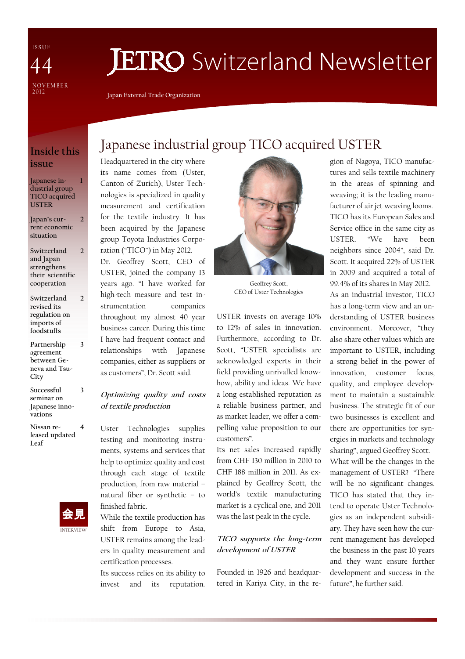I S S U E NOVEMBER<br>2012 44

# **JETRO** Switzerland Newsletter

Japan External Trade Organization

#### Inside this issue

Japanese industrial group TICO acquired USTER 1

- Japan's current economic situation 2
- Switzerland and Japan strengthens their scientific cooperation 2
- Switzerland revised its regulation on imports of foodstuffs
- Partnership agreement between Geneva and Tsu-**City**

3

 $\overline{\phantom{a}}$ 

3

- Successful seminar on Japanese innovations
- Nissan released updated Leaf 4



## Japanese industrial group TICO acquired USTER

Headquartered in the city where its name comes from (Uster, Canton of Zurich), Uster Technologies is specialized in quality measurement and certification for the textile industry. It has been acquired by the Japanese group Toyota Industries Corporation ("TICO") in May 2012.

Dr. Geoffrey Scott, CEO of USTER, joined the company 13 years ago. "I have worked for high-tech measure and test instrumentation companies throughout my almost 40 year business career. During this time I have had frequent contact and relationships with Japanese companies, either as suppliers or as customers", Dr. Scott said.

#### Optimizing quality and costs of textile production

Uster Technologies supplies testing and monitoring instruments, systems and services that help to optimize quality and cost through each stage of textile production, from raw material – natural fiber or synthetic – to finished fabric.

While the textile production has shift from Europe to Asia, USTER remains among the leaders in quality measurement and certification processes.

Its success relies on its ability to invest and its reputation.



Geoffrey Scott, CEO of Uster Technologies

USTER invests on average 10% to 12% of sales in innovation. Furthermore, according to Dr. Scott, "USTER specialists are acknowledged experts in their field providing unrivalled knowhow, ability and ideas. We have a long established reputation as a reliable business partner, and as market leader, we offer a compelling value proposition to our customers".

Its net sales increased rapidly from CHF 130 million in 2010 to CHF 188 million in 2011. As explained by Geoffrey Scott, the world's textile manufacturing market is a cyclical one, and 2011 was the last peak in the cycle.

#### TICO supports the long-term development of USTER

Founded in 1926 and headquartered in Kariya City, in the region of Nagoya, TICO manufactures and sells textile machinery in the areas of spinning and weaving; it is the leading manufacturer of air jet weaving looms. TICO has its European Sales and Service office in the same city as USTER. "We have been neighbors since 2004", said Dr. Scott. It acquired 22% of USTER in 2009 and acquired a total of 99.4% of its shares in May 2012. As an industrial investor, TICO has a long-term view and an understanding of USTER business environment. Moreover, "they also share other values which are important to USTER, including a strong belief in the power of innovation, customer focus, quality, and employee development to maintain a sustainable business. The strategic fit of our two businesses is excellent and there are opportunities for synergies in markets and technology sharing", argued Geoffrey Scott. What will be the changes in the

management of USTER? "There will be no significant changes. TICO has stated that they intend to operate Uster Technologies as an independent subsidiary. They have seen how the current management has developed the business in the past 10 years and they want ensure further development and success in the future", he further said.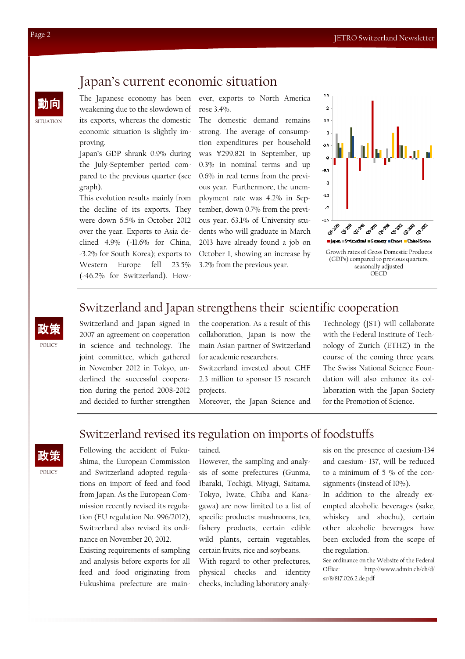### Japan's current economic situation

The Japanese economy has been weakening due to the slowdown of its exports, whereas the domestic economic situation is slightly improving.

Japan's GDP shrank 0.9% during the July-September period compared to the previous quarter (see graph).

This evolution results mainly from the decline of its exports. They were down 6.5% in October 2012 over the year. Exports to Asia declined 4.9% (-11.6% for China, -3.2% for South Korea); exports to Western Europe fell 23.5% (-46.2% for Switzerland). However, exports to North America rose 3.4%.

The domestic demand remains strong. The average of consumption expenditures per household was ¥299,821 in September, up 0.3% in nominal terms and up 0.6% in real terms from the previous year. Furthermore, the unemployment rate was 4.2% in September, down 0.7% from the previous year. 63.1% of University students who will graduate in March 2013 have already found a job on October 1, showing an increase by 3.2% from the previous year.



## Switzerland and Japan strengthens their scientific cooperation

**POLICY** 政策

Switzerland and Japan signed in 2007 an agreement on cooperation in science and technology. The joint committee, which gathered in November 2012 in Tokyo, underlined the successful cooperation during the period 2008-2012 and decided to further strengthen the cooperation. As a result of this collaboration, Japan is now the main Asian partner of Switzerland for academic researchers.

Switzerland invested about CHF 2.3 million to sponsor 15 research projects.

Moreover, the Japan Science and

Technology (JST) will collaborate with the Federal Institute of Technology of Zurich (ETHZ) in the course of the coming three years. The Swiss National Science Foundation will also enhance its collaboration with the Japan Society for the Promotion of Science.

## Switzerland revised its regulation on imports of foodstuffs

POLICY 政策 Following the accident of Fukushima, the European Commission and Switzerland adopted regulations on import of feed and food from Japan. As the European Commission recently revised its regulation (EU regulation No. 996/2012), Switzerland also revised its ordinance on November 20, 2012.

Existing requirements of sampling and analysis before exports for all feed and food originating from Fukushima prefecture are main-

tained.

However, the sampling and analysis of some prefectures (Gunma, Ibaraki, Tochigi, Miyagi, Saitama, Tokyo, Iwate, Chiba and Kanagawa) are now limited to a list of specific products: mushrooms, tea, fishery products, certain edible wild plants, certain vegetables, certain fruits, rice and soybeans.

With regard to other prefectures, physical checks and identity checks, including laboratory analysis on the presence of caesium-134 and caesium- 137, will be reduced to a minimum of 5 % of the consignments (instead of 10%).

In addition to the already exempted alcoholic beverages (sake, whiskey and shochu), certain other alcoholic beverages have been excluded from the scope of the regulation.

See ordinance on the Website of the Federal Office: http://www.admin.ch/ch/d/ sr/8/817.026.2.de.pdf

**SITUATION** 

動向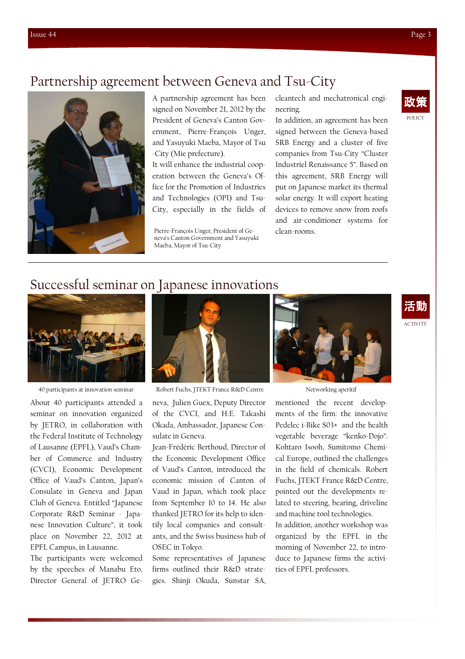## Partnership agreement between Geneva and Tsu-City



A partnership agreement has been signed on November 21, 2012 by the President of Geneva's Canton Government, Pierre-François Unger, and Yasuyuki Maeba, Mayor of Tsu -City (Mie prefecture).

It will enhance the industrial cooperation between the Geneva's Office for the Promotion of Industries and Technologies (OPI) and Tsu-City, especially in the fields of

Pierre-François Unger, President of Geneva's Canton Government and Yasuyuki Maeba, Mayor of Tsu-City

cleantech and mechatronical engineering.

In addition, an agreement has been signed between the Geneva-based SRB Energy and a cluster of five companies from Tsu-City "Cluster Industriel Renaissance 5". Based on this agreement, SRB Energy will put on Japanese market its thermal solar energy. It will export heating devices to remove snow from roofs and air-conditioner systems for clean-rooms.



ACTIVITY

活動

#### Successful seminar on Japanese innovations



About 40 participants attended a seminar on innovation organized by JETRO, in collaboration with the Federal Institute of Technology of Lausanne (EPFL), Vaud's Chamber of Commerce and Industry (CVCI), Economic Development Office of Vaud's Canton, Japan's Consulate in Geneva and Japan Club of Geneva. Entitled "Japanese Corporate R&D Seminar - Japanese Innovation Culture", it took place on November 22, 2012 at EPFL Campus, in Lausanne.

The participants were welcomed by the speeches of Manabu Eto, Director General of JETRO Ge-



40 participants at innovation seminar Robert Fuchs, JTEKT France R&D Centre Networking aperitif

neva, Julien Guex, Deputy Director of the CVCI, and H.E. Takashi Okada, Ambassador, Japanese Consulate in Geneva.

Jean-Frédéric Berthoud, Director of the Economic Development Office of Vaud's Canton, introduced the economic mission of Canton of Vaud in Japan, which took place from September 10 to 14. He also thanked JETRO for its help to identify local companies and consultants, and the Swiss business hub of OSEC in Tokyo.

Some representatives of Japanese firms outlined their R&D strategies. Shinji Okuda, Sunstar SA,



mentioned the recent developments of the firm: the innovative Pedelec i-Bike S03+ and the health vegetable beverage "kenko-Dojo". Kohtaro Isooh, Sumitomo Chemical Europe, outlined the challenges in the field of chemicals. Robert Fuchs, JTEKT France R&D Centre, pointed out the developments related to steering, bearing, driveline and machine tool technologies.

In addition, another workshop was organized by the EPFL in the morning of November 22, to introduce to Japanese firms the activities of EPFL professors.

Issue 44 Page 3